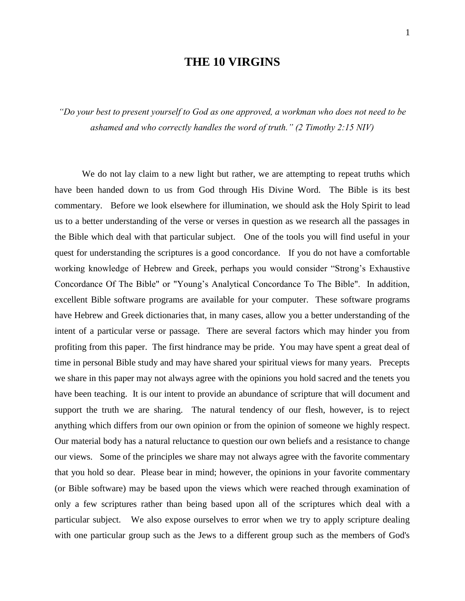## **THE 10 VIRGINS**

*"Do your best to present yourself to God as one approved, a workman who does not need to be ashamed and who correctly handles the word of truth." (2 Timothy 2:15 NIV)*

We do not lay claim to a new light but rather, we are attempting to repeat truths which have been handed down to us from God through His Divine Word. The Bible is its best commentary. Before we look elsewhere for illumination, we should ask the Holy Spirit to lead us to a better understanding of the verse or verses in question as we research all the passages in the Bible which deal with that particular subject. One of the tools you will find useful in your quest for understanding the scriptures is a good concordance. If you do not have a comfortable working knowledge of Hebrew and Greek, perhaps you would consider "Strong's Exhaustive Concordance Of The Bible" or "Young's Analytical Concordance To The Bible". In addition, excellent Bible software programs are available for your computer. These software programs have Hebrew and Greek dictionaries that, in many cases, allow you a better understanding of the intent of a particular verse or passage. There are several factors which may hinder you from profiting from this paper. The first hindrance may be pride. You may have spent a great deal of time in personal Bible study and may have shared your spiritual views for many years. Precepts we share in this paper may not always agree with the opinions you hold sacred and the tenets you have been teaching. It is our intent to provide an abundance of scripture that will document and support the truth we are sharing. The natural tendency of our flesh, however, is to reject anything which differs from our own opinion or from the opinion of someone we highly respect. Our material body has a natural reluctance to question our own beliefs and a resistance to change our views. Some of the principles we share may not always agree with the favorite commentary that you hold so dear. Please bear in mind; however, the opinions in your favorite commentary (or Bible software) may be based upon the views which were reached through examination of only a few scriptures rather than being based upon all of the scriptures which deal with a particular subject. We also expose ourselves to error when we try to apply scripture dealing with one particular group such as the Jews to a different group such as the members of God's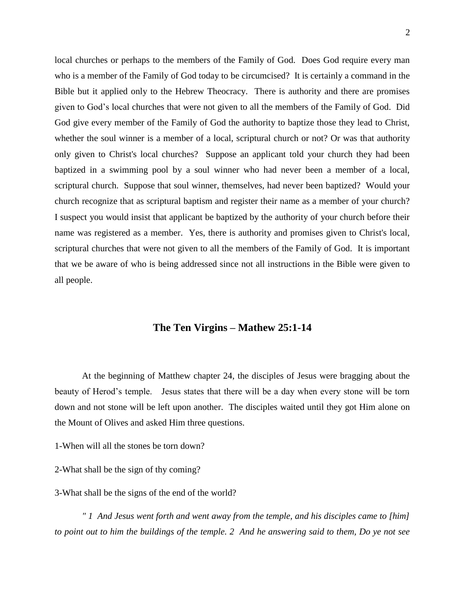local churches or perhaps to the members of the Family of God. Does God require every man who is a member of the Family of God today to be circumcised? It is certainly a command in the Bible but it applied only to the Hebrew Theocracy. There is authority and there are promises given to God's local churches that were not given to all the members of the Family of God. Did God give every member of the Family of God the authority to baptize those they lead to Christ, whether the soul winner is a member of a local, scriptural church or not? Or was that authority only given to Christ's local churches? Suppose an applicant told your church they had been baptized in a swimming pool by a soul winner who had never been a member of a local, scriptural church. Suppose that soul winner, themselves, had never been baptized? Would your church recognize that as scriptural baptism and register their name as a member of your church? I suspect you would insist that applicant be baptized by the authority of your church before their name was registered as a member. Yes, there is authority and promises given to Christ's local, scriptural churches that were not given to all the members of the Family of God. It is important that we be aware of who is being addressed since not all instructions in the Bible were given to all people.

## **The Ten Virgins – Mathew 25:1-14**

At the beginning of Matthew chapter 24, the disciples of Jesus were bragging about the beauty of Herod's temple. Jesus states that there will be a day when every stone will be torn down and not stone will be left upon another. The disciples waited until they got Him alone on the Mount of Olives and asked Him three questions.

1-When will all the stones be torn down?

2-What shall be the sign of thy coming?

3-What shall be the signs of the end of the world?

*" 1 And Jesus went forth and went away from the temple, and his disciples came to [him] to point out to him the buildings of the temple. 2 And he answering said to them, Do ye not see*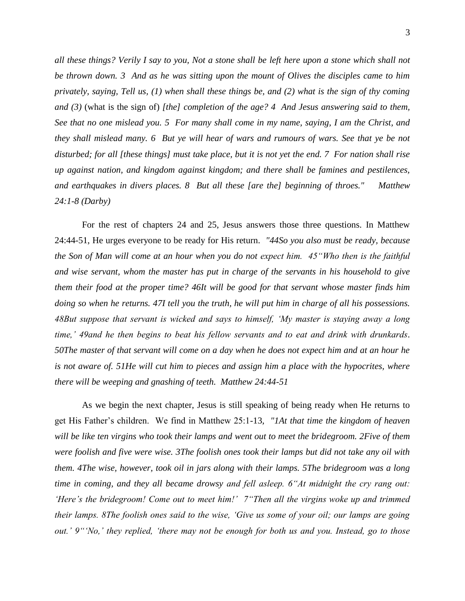*all these things? Verily I say to you, Not a stone shall be left here upon a stone which shall not be thrown down. 3 And as he was sitting upon the mount of Olives the disciples came to him privately, saying, Tell us, (1) when shall these things be, and (2) what is the sign of thy coming and (3)* (what is the sign of) *[the] completion of the age? 4 And Jesus answering said to them, See that no one mislead you. 5 For many shall come in my name, saying, I am the Christ, and they shall mislead many. 6 But ye will hear of wars and rumours of wars. See that ye be not disturbed; for all [these things] must take place, but it is not yet the end. 7 For nation shall rise up against nation, and kingdom against kingdom; and there shall be famines and pestilences, and earthquakes in divers places. 8 But all these [are the] beginning of throes." Matthew 24:1-8 (Darby)* 

For the rest of chapters 24 and 25, Jesus answers those three questions. In Matthew 24:44-51, He urges everyone to be ready for His return. *"44So you also must be ready, because the Son of Man will come at an hour when you do not expect him. 45"Who then is the faithful and wise servant, whom the master has put in charge of the servants in his household to give them their food at the proper time? 46It will be good for that servant whose master finds him doing so when he returns. 47I tell you the truth, he will put him in charge of all his possessions. 48But suppose that servant is wicked and says to himself, 'My master is staying away a long time,' 49and he then begins to beat his fellow servants and to eat and drink with drunkards. 50The master of that servant will come on a day when he does not expect him and at an hour he is not aware of. 51He will cut him to pieces and assign him a place with the hypocrites, where there will be weeping and gnashing of teeth. Matthew 24:44-51* 

As we begin the next chapter, Jesus is still speaking of being ready when He returns to get His Father's children. We find in Matthew 25:1-13*, "1At that time the kingdom of heaven will be like ten virgins who took their lamps and went out to meet the bridegroom. 2Five of them were foolish and five were wise. 3The foolish ones took their lamps but did not take any oil with them. 4The wise, however, took oil in jars along with their lamps. 5The bridegroom was a long time in coming, and they all became drowsy and fell asleep. 6"At midnight the cry rang out: 'Here's the bridegroom! Come out to meet him!' 7"Then all the virgins woke up and trimmed their lamps. 8The foolish ones said to the wise, 'Give us some of your oil; our lamps are going out.' 9"'No,' they replied, 'there may not be enough for both us and you. Instead, go to those*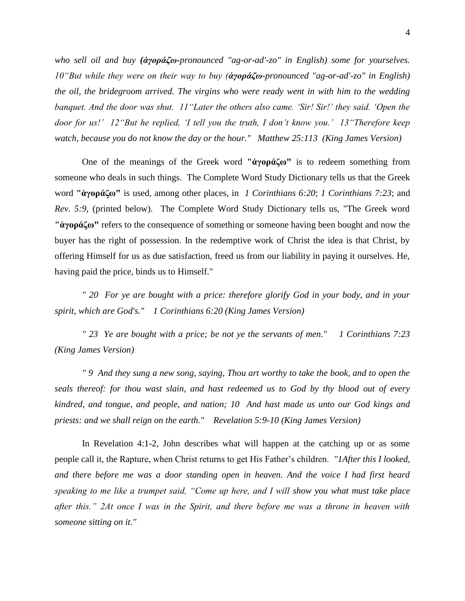*who sell oil and buy (ἀγοράζω-pronounced "ag-or-ad'-zo" in English) some for yourselves. 10"But while they were on their way to buy (ἀγοράζω-pronounced "ag-or-ad'-zo" in English) the oil, the bridegroom arrived. The virgins who were ready went in with him to the wedding banquet. And the door was shut. 11"Later the others also came. 'Sir! Sir!' they said. 'Open the door for us!' 12"But he replied, 'I tell you the truth, I don't know you.' 13"Therefore keep watch, because you do not know the day or the hour." Matthew 25:113 (King James Version)*

One of the meanings of the Greek word **"ἀγοράζω"** is to redeem something from someone who deals in such things. The Complete Word Study Dictionary tells us that the Greek word **"ἀγοράζω"** is used, among other places, in *1 Corinthians 6:20*; *1 Corinthians 7:23*; and *Rev. 5:9,* (printed below). The Complete Word Study Dictionary tells us, "The Greek word **"ἀγοράζω"** refers to the consequence of something or someone having been bought and now the buyer has the right of possession. In the redemptive work of Christ the idea is that Christ, by offering Himself for us as due satisfaction, freed us from our liability in paying it ourselves. He, having paid the price, binds us to Himself."

*" 20 For ye are bought with a price: therefore glorify God in your body, and in your spirit, which are God's." 1 Corinthians 6:20 (King James Version)*

*" 23 Ye are bought with a price; be not ye the servants of men." 1 Corinthians 7:23 (King James Version)* 

*" 9 And they sung a new song, saying, Thou art worthy to take the book, and to open the seals thereof: for thou wast slain, and hast redeemed us to God by thy blood out of every kindred, and tongue, and people, and nation; 10 And hast made us unto our God kings and priests: and we shall reign on the earth." Revelation 5:9-10 (King James Version)*

In Revelation 4:1-2, John describes what will happen at the catching up or as some people call it, the Rapture, when Christ returns to get His Father's children. *"1After this I looked, and there before me was a door standing open in heaven. And the voice I had first heard speaking to me like a trumpet said, "Come up here, and I will show you what must take place after this." 2At once I was in the Spirit, and there before me was a throne in heaven with someone sitting on it."*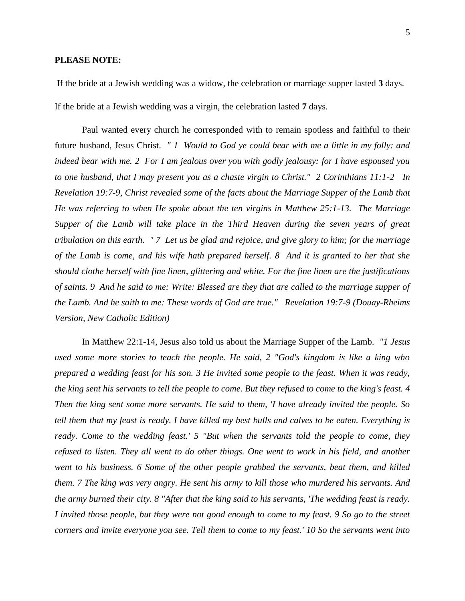#### **PLEASE NOTE:**

If the bride at a Jewish wedding was a widow, the celebration or marriage supper lasted **3** days. If the bride at a Jewish wedding was a virgin, the celebration lasted **7** days.

Paul wanted every church he corresponded with to remain spotless and faithful to their future husband, Jesus Christ. *" 1 Would to God ye could bear with me a little in my folly: and indeed bear with me. 2 For I am jealous over you with godly jealousy: for I have espoused you to one husband, that I may present you as a chaste virgin to Christ." 2 Corinthians 11:1-2 In Revelation 19:7-9, Christ revealed some of the facts about the Marriage Supper of the Lamb that He was referring to when He spoke about the ten virgins in Matthew 25:1-13. The Marriage Supper of the Lamb will take place in the Third Heaven during the seven years of great tribulation on this earth. " 7 Let us be glad and rejoice, and give glory to him; for the marriage of the Lamb is come, and his wife hath prepared herself. 8 And it is granted to her that she should clothe herself with fine linen, glittering and white. For the fine linen are the justifications of saints. 9 And he said to me: Write: Blessed are they that are called to the marriage supper of the Lamb. And he saith to me: These words of God are true." Revelation 19:7-9 (Douay-Rheims Version, New Catholic Edition)* 

In Matthew 22:1-14, Jesus also told us about the Marriage Supper of the Lamb. *"1 Jesus used some more stories to teach the people. He said, 2 "God's kingdom is like a king who prepared a wedding feast for his son. 3 He invited some people to the feast. When it was ready, the king sent his servants to tell the people to come. But they refused to come to the king's feast. 4 Then the king sent some more servants. He said to them, 'I have already invited the people. So tell them that my feast is ready. I have killed my best bulls and calves to be eaten. Everything is ready. Come to the wedding feast.' 5 "But when the servants told the people to come, they refused to listen. They all went to do other things. One went to work in his field, and another went to his business. 6 Some of the other people grabbed the servants, beat them, and killed them. 7 The king was very angry. He sent his army to kill those who murdered his servants. And the army burned their city. 8 "After that the king said to his servants, 'The wedding feast is ready. I invited those people, but they were not good enough to come to my feast. 9 So go to the street corners and invite everyone you see. Tell them to come to my feast.' 10 So the servants went into*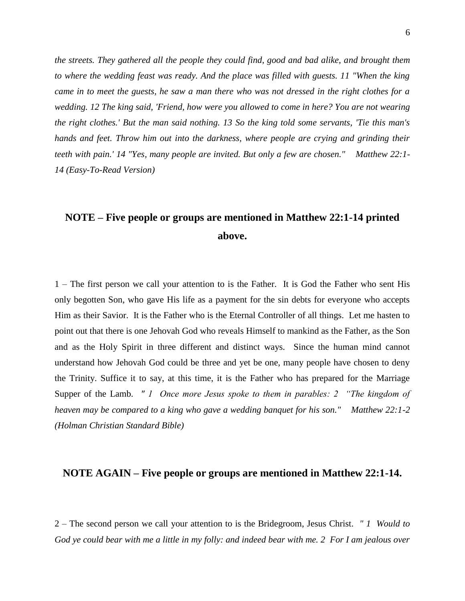*the streets. They gathered all the people they could find, good and bad alike, and brought them to where the wedding feast was ready. And the place was filled with guests. 11 "When the king came in to meet the guests, he saw a man there who was not dressed in the right clothes for a wedding. 12 The king said, 'Friend, how were you allowed to come in here? You are not wearing the right clothes.' But the man said nothing. 13 So the king told some servants, 'Tie this man's hands and feet. Throw him out into the darkness, where people are crying and grinding their teeth with pain.' 14 "Yes, many people are invited. But only a few are chosen." Matthew 22:1- 14 (Easy-To-Read Version)* 

# **NOTE – Five people or groups are mentioned in Matthew 22:1-14 printed above.**

1 – The first person we call your attention to is the Father. It is God the Father who sent His only begotten Son, who gave His life as a payment for the sin debts for everyone who accepts Him as their Savior. It is the Father who is the Eternal Controller of all things. Let me hasten to point out that there is one Jehovah God who reveals Himself to mankind as the Father, as the Son and as the Holy Spirit in three different and distinct ways. Since the human mind cannot understand how Jehovah God could be three and yet be one, many people have chosen to deny the Trinity. Suffice it to say, at this time, it is the Father who has prepared for the Marriage Supper of the Lamb. *" 1 Once more Jesus spoke to them in parables: 2 "The kingdom of heaven may be compared to a king who gave a wedding banquet for his son." Matthew 22:1-2 (Holman Christian Standard Bible)* 

### **NOTE AGAIN – Five people or groups are mentioned in Matthew 22:1-14.**

2 – The second person we call your attention to is the Bridegroom, Jesus Christ. *" 1 Would to God ye could bear with me a little in my folly: and indeed bear with me. 2 For I am jealous over*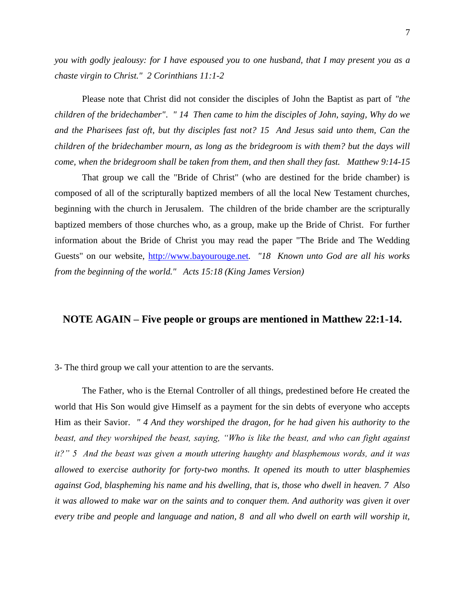*you with godly jealousy: for I have espoused you to one husband, that I may present you as a chaste virgin to Christ." 2 Corinthians 11:1-2* 

Please note that Christ did not consider the disciples of John the Baptist as part of *"the children of the bridechamber"*. *" 14 Then came to him the disciples of John, saying, Why do we and the Pharisees fast oft, but thy disciples fast not? 15 And Jesus said unto them, Can the children of the bridechamber mourn, as long as the bridegroom is with them? but the days will come, when the bridegroom shall be taken from them, and then shall they fast. Matthew 9:14-15*

That group we call the "Bride of Christ" (who are destined for the bride chamber) is composed of all of the scripturally baptized members of all the local New Testament churches, beginning with the church in Jerusalem. The children of the bride chamber are the scripturally baptized members of those churches who, as a group, make up the Bride of Christ. For further information about the Bride of Christ you may read the paper "The Bride and The Wedding Guests" on our website, [http://www.bayourouge.net](http://www.bayourouge.net/)*. "18 Known unto God are all his works from the beginning of the world." Acts 15:18 (King James Version)*

## **NOTE AGAIN – Five people or groups are mentioned in Matthew 22:1-14.**

#### 3- The third group we call your attention to are the servants.

The Father, who is the Eternal Controller of all things, predestined before He created the world that His Son would give Himself as a payment for the sin debts of everyone who accepts Him as their Savior. *" 4 And they worshiped the dragon, for he had given his authority to the beast, and they worshiped the beast, saying, "Who is like the beast, and who can fight against it?" 5 And the beast was given a mouth uttering haughty and blasphemous words, and it was allowed to exercise authority for forty-two months. It opened its mouth to utter blasphemies against God, blaspheming his name and his dwelling, that is, those who dwell in heaven. 7 Also it was allowed to make war on the saints and to conquer them. And authority was given it over every tribe and people and language and nation, 8 and all who dwell on earth will worship it,*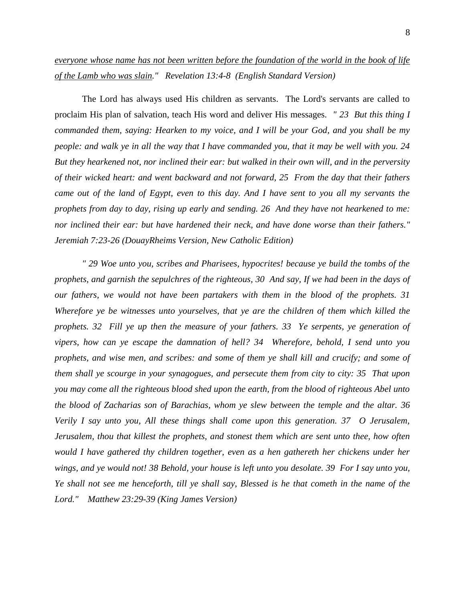## *everyone whose name has not been written before the foundation of the world in the book of life of the Lamb who was slain." Revelation 13:4-8 (English Standard Version)*

The Lord has always used His children as servants. The Lord's servants are called to proclaim His plan of salvation, teach His word and deliver His messages. *" 23 But this thing I commanded them, saying: Hearken to my voice, and I will be your God, and you shall be my people: and walk ye in all the way that I have commanded you, that it may be well with you. 24 But they hearkened not, nor inclined their ear: but walked in their own will, and in the perversity of their wicked heart: and went backward and not forward, 25 From the day that their fathers came out of the land of Egypt, even to this day. And I have sent to you all my servants the prophets from day to day, rising up early and sending. 26 And they have not hearkened to me: nor inclined their ear: but have hardened their neck, and have done worse than their fathers." Jeremiah 7:23-26 (DouayRheims Version, New Catholic Edition)*

*" 29 Woe unto you, scribes and Pharisees, hypocrites! because ye build the tombs of the prophets, and garnish the sepulchres of the righteous, 30 And say, If we had been in the days of our fathers, we would not have been partakers with them in the blood of the prophets. 31 Wherefore ye be witnesses unto yourselves, that ye are the children of them which killed the prophets. 32 Fill ye up then the measure of your fathers. 33 Ye serpents, ye generation of vipers, how can ye escape the damnation of hell? 34 Wherefore, behold, I send unto you prophets, and wise men, and scribes: and some of them ye shall kill and crucify; and some of them shall ye scourge in your synagogues, and persecute them from city to city: 35 That upon you may come all the righteous blood shed upon the earth, from the blood of righteous Abel unto the blood of Zacharias son of Barachias, whom ye slew between the temple and the altar. 36 Verily I say unto you, All these things shall come upon this generation. 37 O Jerusalem, Jerusalem, thou that killest the prophets, and stonest them which are sent unto thee, how often would I have gathered thy children together, even as a hen gathereth her chickens under her wings, and ye would not! 38 Behold, your house is left unto you desolate. 39 For I say unto you, Ye shall not see me henceforth, till ye shall say, Blessed is he that cometh in the name of the Lord." Matthew 23:29-39 (King James Version)*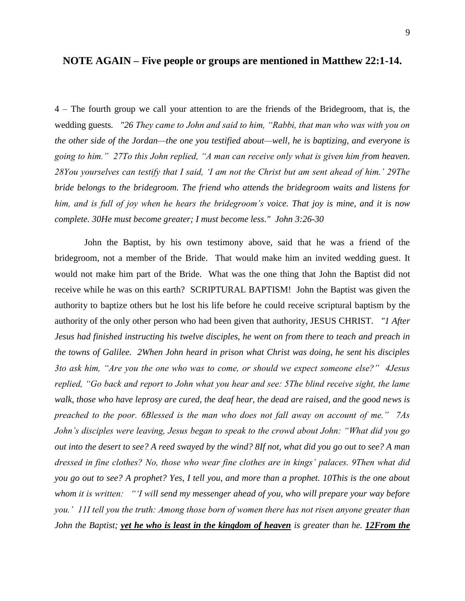4 – The fourth group we call your attention to are the friends of the Bridegroom, that is, the wedding guests*. "26 They came to John and said to him, "Rabbi, that man who was with you on the other side of the Jordan—the one you testified about—well, he is baptizing, and everyone is going to him." 27To this John replied, "A man can receive only what is given him from heaven. 28You yourselves can testify that I said, 'I am not the Christ but am sent ahead of him.' 29The bride belongs to the bridegroom. The friend who attends the bridegroom waits and listens for him, and is full of joy when he hears the bridegroom's voice. That joy is mine, and it is now complete. 30He must become greater; I must become less." John 3:26-30* 

John the Baptist, by his own testimony above, said that he was a friend of the bridegroom, not a member of the Bride. That would make him an invited wedding guest. It would not make him part of the Bride. What was the one thing that John the Baptist did not receive while he was on this earth? SCRIPTURAL BAPTISM! John the Baptist was given the authority to baptize others but he lost his life before he could receive scriptural baptism by the authority of the only other person who had been given that authority, JESUS CHRIST. *"1 After Jesus had finished instructing his twelve disciples, he went on from there to teach and preach in the towns of Galilee. 2When John heard in prison what Christ was doing, he sent his disciples 3to ask him, "Are you the one who was to come, or should we expect someone else?" 4Jesus replied, "Go back and report to John what you hear and see: 5The blind receive sight, the lame walk, those who have leprosy are cured, the deaf hear, the dead are raised, and the good news is preached to the poor. 6Blessed is the man who does not fall away on account of me." 7As John's disciples were leaving, Jesus began to speak to the crowd about John: "What did you go out into the desert to see? A reed swayed by the wind? 8If not, what did you go out to see? A man dressed in fine clothes? No, those who wear fine clothes are in kings' palaces. 9Then what did you go out to see? A prophet? Yes, I tell you, and more than a prophet. 10This is the one about whom it is written: "'I will send my messenger ahead of you, who will prepare your way before you.' 11I tell you the truth: Among those born of women there has not risen anyone greater than John the Baptist; yet he who is least in the kingdom of heaven is greater than he.* 12From the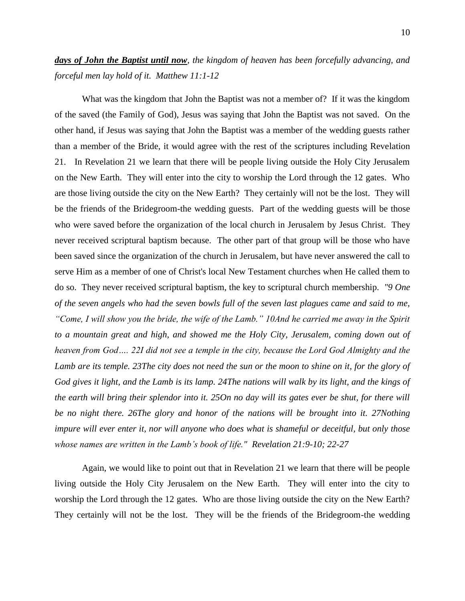## *days of John the Baptist until now, the kingdom of heaven has been forcefully advancing, and forceful men lay hold of it. Matthew 11:1-12*

What was the kingdom that John the Baptist was not a member of? If it was the kingdom of the saved (the Family of God), Jesus was saying that John the Baptist was not saved. On the other hand, if Jesus was saying that John the Baptist was a member of the wedding guests rather than a member of the Bride, it would agree with the rest of the scriptures including Revelation 21. In Revelation 21 we learn that there will be people living outside the Holy City Jerusalem on the New Earth. They will enter into the city to worship the Lord through the 12 gates. Who are those living outside the city on the New Earth? They certainly will not be the lost. They will be the friends of the Bridegroom-the wedding guests. Part of the wedding guests will be those who were saved before the organization of the local church in Jerusalem by Jesus Christ. They never received scriptural baptism because. The other part of that group will be those who have been saved since the organization of the church in Jerusalem, but have never answered the call to serve Him as a member of one of Christ's local New Testament churches when He called them to do so. They never received scriptural baptism, the key to scriptural church membership. *"9 One of the seven angels who had the seven bowls full of the seven last plagues came and said to me, "Come, I will show you the bride, the wife of the Lamb." 10And he carried me away in the Spirit to a mountain great and high, and showed me the Holy City, Jerusalem, coming down out of heaven from God…. 22I did not see a temple in the city, because the Lord God Almighty and the*  Lamb are its temple. 23The city does not need the sun or the moon to shine on it, for the glory of *God gives it light, and the Lamb is its lamp. 24The nations will walk by its light, and the kings of the earth will bring their splendor into it. 25On no day will its gates ever be shut, for there will be no night there. 26The glory and honor of the nations will be brought into it. 27Nothing impure will ever enter it, nor will anyone who does what is shameful or deceitful, but only those whose names are written in the Lamb's book of life." Revelation 21:9-10; 22-27* 

Again, we would like to point out that in Revelation 21 we learn that there will be people living outside the Holy City Jerusalem on the New Earth. They will enter into the city to worship the Lord through the 12 gates. Who are those living outside the city on the New Earth? They certainly will not be the lost. They will be the friends of the Bridegroom-the wedding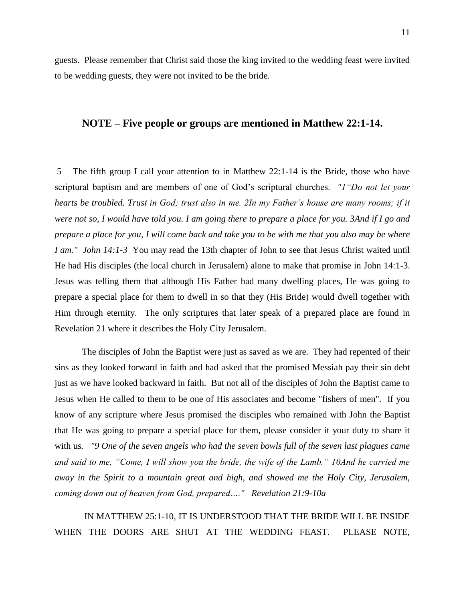guests. Please remember that Christ said those the king invited to the wedding feast were invited to be wedding guests, they were not invited to be the bride.

#### **NOTE – Five people or groups are mentioned in Matthew 22:1-14.**

5 – The fifth group I call your attention to in Matthew 22:1-14 is the Bride, those who have scriptural baptism and are members of one of God's scriptural churches. *"1"Do not let your hearts be troubled. Trust in God; trust also in me. 2In my Father's house are many rooms; if it were not so, I would have told you. I am going there to prepare a place for you. 3And if I go and prepare a place for you, I will come back and take you to be with me that you also may be where I am." John 14:1-3* You may read the 13th chapter of John to see that Jesus Christ waited until He had His disciples (the local church in Jerusalem) alone to make that promise in John 14:1-3. Jesus was telling them that although His Father had many dwelling places, He was going to prepare a special place for them to dwell in so that they (His Bride) would dwell together with Him through eternity. The only scriptures that later speak of a prepared place are found in Revelation 21 where it describes the Holy City Jerusalem.

The disciples of John the Baptist were just as saved as we are. They had repented of their sins as they looked forward in faith and had asked that the promised Messiah pay their sin debt just as we have looked backward in faith. But not all of the disciples of John the Baptist came to Jesus when He called to them to be one of His associates and become "fishers of men". If you know of any scripture where Jesus promised the disciples who remained with John the Baptist that He was going to prepare a special place for them, please consider it your duty to share it with us*. "9 One of the seven angels who had the seven bowls full of the seven last plagues came and said to me, "Come, I will show you the bride, the wife of the Lamb." 10And he carried me away in the Spirit to a mountain great and high, and showed me the Holy City, Jerusalem, coming down out of heaven from God, prepared…." Revelation 21:9-10a* 

IN MATTHEW 25:1-10, IT IS UNDERSTOOD THAT THE BRIDE WILL BE INSIDE WHEN THE DOORS ARE SHUT AT THE WEDDING FEAST. PLEASE NOTE,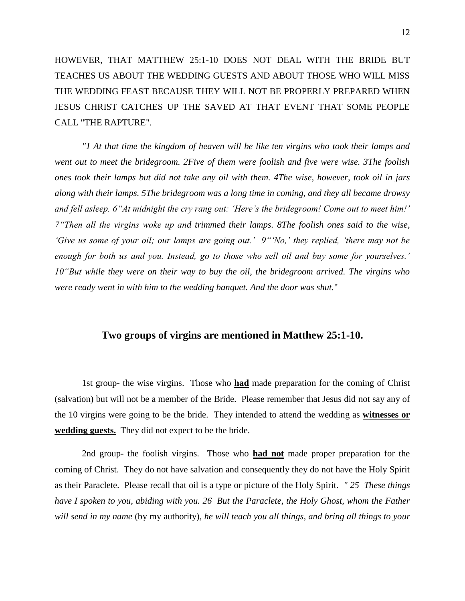HOWEVER, THAT MATTHEW 25:1-10 DOES NOT DEAL WITH THE BRIDE BUT TEACHES US ABOUT THE WEDDING GUESTS AND ABOUT THOSE WHO WILL MISS THE WEDDING FEAST BECAUSE THEY WILL NOT BE PROPERLY PREPARED WHEN JESUS CHRIST CATCHES UP THE SAVED AT THAT EVENT THAT SOME PEOPLE CALL "THE RAPTURE".

*"1 At that time the kingdom of heaven will be like ten virgins who took their lamps and went out to meet the bridegroom. 2Five of them were foolish and five were wise. 3The foolish ones took their lamps but did not take any oil with them. 4The wise, however, took oil in jars along with their lamps. 5The bridegroom was a long time in coming, and they all became drowsy and fell asleep. 6"At midnight the cry rang out: 'Here's the bridegroom! Come out to meet him!' 7"Then all the virgins woke up and trimmed their lamps. 8The foolish ones said to the wise, 'Give us some of your oil; our lamps are going out.' 9"'No,' they replied, 'there may not be enough for both us and you. Instead, go to those who sell oil and buy some for yourselves.' 10"But while they were on their way to buy the oil, the bridegroom arrived. The virgins who were ready went in with him to the wedding banquet. And the door was shut.*"

## **Two groups of virgins are mentioned in Matthew 25:1-10.**

1st group- the wise virgins. Those who **had** made preparation for the coming of Christ (salvation) but will not be a member of the Bride. Please remember that Jesus did not say any of the 10 virgins were going to be the bride. They intended to attend the wedding as **witnesses or wedding guests.** They did not expect to be the bride.

2nd group- the foolish virgins. Those who **had not** made proper preparation for the coming of Christ. They do not have salvation and consequently they do not have the Holy Spirit as their Paraclete. Please recall that oil is a type or picture of the Holy Spirit. *" 25 These things have I spoken to you, abiding with you. 26 But the Paraclete, the Holy Ghost, whom the Father will send in my name* (by my authority)*, he will teach you all things, and bring all things to your*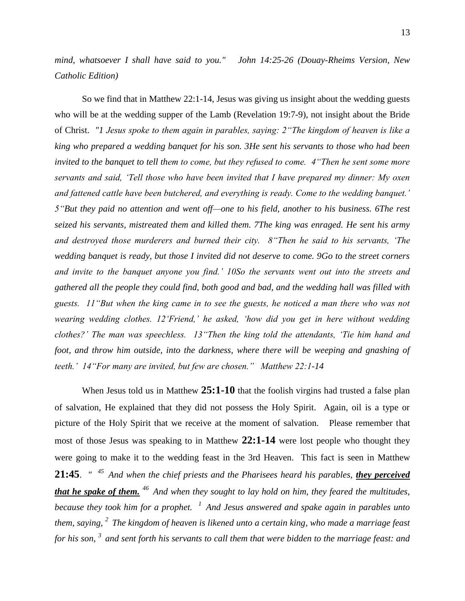*mind, whatsoever I shall have said to you." John 14:25-26 (Douay-Rheims Version, New Catholic Edition)* 

So we find that in Matthew 22:1-14, Jesus was giving us insight about the wedding guests who will be at the wedding supper of the Lamb (Revelation 19:7-9), not insight about the Bride of Christ. *"1 Jesus spoke to them again in parables, saying: 2"The kingdom of heaven is like a king who prepared a wedding banquet for his son. 3He sent his servants to those who had been invited to the banquet to tell them to come, but they refused to come.* 4 *Then he sent some more servants and said, 'Tell those who have been invited that I have prepared my dinner: My oxen and fattened cattle have been butchered, and everything is ready. Come to the wedding banquet.' 5"But they paid no attention and went off—one to his field, another to his business. 6The rest seized his servants, mistreated them and killed them. 7The king was enraged. He sent his army and destroyed those murderers and burned their city. 8"Then he said to his servants, 'The wedding banquet is ready, but those I invited did not deserve to come. 9Go to the street corners and invite to the banquet anyone you find.' 10So the servants went out into the streets and gathered all the people they could find, both good and bad, and the wedding hall was filled with guests. 11"But when the king came in to see the guests, he noticed a man there who was not wearing wedding clothes. 12'Friend,' he asked, 'how did you get in here without wedding clothes?' The man was speechless. 13"Then the king told the attendants, 'Tie him hand and*  foot, and throw him outside, into the darkness, where there will be weeping and gnashing of *teeth.' 14"For many are invited, but few are chosen." Matthew 22:1-14* 

When Jesus told us in Matthew **25:1-10** that the foolish virgins had trusted a false plan of salvation, He explained that they did not possess the Holy Spirit. Again, oil is a type or picture of the Holy Spirit that we receive at the moment of salvation. Please remember that most of those Jesus was speaking to in Matthew **22:1-14** were lost people who thought they were going to make it to the wedding feast in the 3rd Heaven. This fact is seen in Matthew **21:45**. *" <sup>45</sup>And when the chief priests and the Pharisees heard his parables, they perceived that he spake of them. <sup>46</sup>And when they sought to lay hold on him, they feared the multitudes, because they took him for a prophet. <sup>1</sup>And Jesus answered and spake again in parables unto them, saying, <sup>2</sup>The kingdom of heaven is likened unto a certain king, who made a marriage feast for his son, <sup>3</sup>and sent forth his servants to call them that were bidden to the marriage feast: and*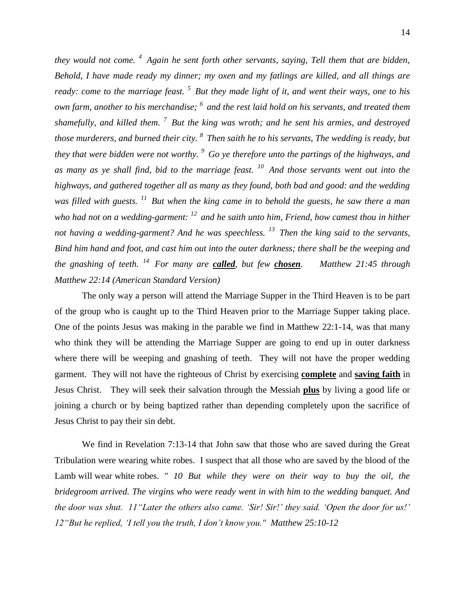*they would not come. <sup>4</sup>Again he sent forth other servants, saying, Tell them that are bidden, Behold, I have made ready my dinner; my oxen and my fatlings are killed, and all things are ready: come to the marriage feast. <sup>5</sup>But they made light of it, and went their ways, one to his own farm, another to his merchandise; <sup>6</sup>and the rest laid hold on his servants, and treated them shamefully, and killed them. <sup>7</sup>But the king was wroth; and he sent his armies, and destroyed those murderers, and burned their city. <sup>8</sup>Then saith he to his servants, The wedding is ready, but they that were bidden were not worthy. <sup>9</sup>Go ye therefore unto the partings of the highways, and as many as ye shall find, bid to the marriage feast. <sup>10</sup>And those servants went out into the highways, and gathered together all as many as they found, both bad and good: and the wedding was filled with guests. <sup>11</sup>But when the king came in to behold the guests, he saw there a man who had not on a wedding-garment: <sup>12</sup>and he saith unto him, Friend, how camest thou in hither not having a wedding-garment? And he was speechless. <sup>13</sup>Then the king said to the servants, Bind him hand and foot, and cast him out into the outer darkness; there shall be the weeping and the gnashing of teeth. <sup>14</sup>For many are called, but few chosen. Matthew 21:45 through Matthew 22:14 (American Standard Version)*

The only way a person will attend the Marriage Supper in the Third Heaven is to be part of the group who is caught up to the Third Heaven prior to the Marriage Supper taking place. One of the points Jesus was making in the parable we find in Matthew 22:1-14, was that many who think they will be attending the Marriage Supper are going to end up in outer darkness where there will be weeping and gnashing of teeth. They will not have the proper wedding garment. They will not have the righteous of Christ by exercising **complete** and **saving faith** in Jesus Christ. They will seek their salvation through the Messiah **plus** by living a good life or joining a church or by being baptized rather than depending completely upon the sacrifice of Jesus Christ to pay their sin debt.

We find in Revelation 7:13-14 that John saw that those who are saved during the Great Tribulation were wearing white robes. I suspect that all those who are saved by the blood of the Lamb will wear white robes. *" 10 But while they were on their way to buy the oil, the bridegroom arrived. The virgins who were ready went in with him to the wedding banquet. And the door was shut. 11"Later the others also came. 'Sir! Sir!' they said. 'Open the door for us!' 12"But he replied, 'I tell you the truth, I don't know you." Matthew 25:10-12*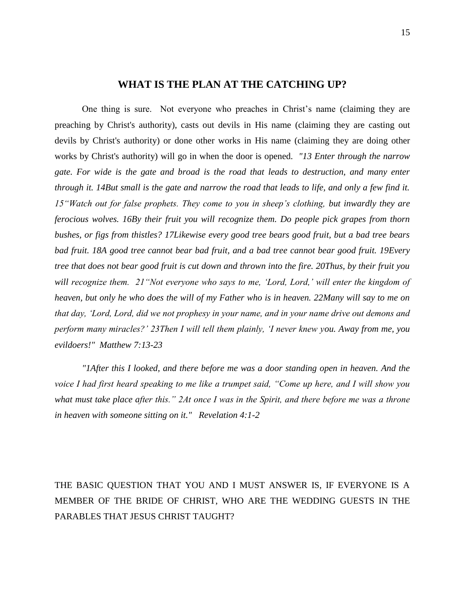## **WHAT IS THE PLAN AT THE CATCHING UP?**

One thing is sure. Not everyone who preaches in Christ's name (claiming they are preaching by Christ's authority), casts out devils in His name (claiming they are casting out devils by Christ's authority) or done other works in His name (claiming they are doing other works by Christ's authority) will go in when the door is opened. *"13 Enter through the narrow gate. For wide is the gate and broad is the road that leads to destruction, and many enter through it. 14But small is the gate and narrow the road that leads to life, and only a few find it. 15"Watch out for false prophets. They come to you in sheep's clothing, but inwardly they are ferocious wolves. 16By their fruit you will recognize them. Do people pick grapes from thorn bushes, or figs from thistles? 17Likewise every good tree bears good fruit, but a bad tree bears bad fruit. 18A good tree cannot bear bad fruit, and a bad tree cannot bear good fruit. 19Every tree that does not bear good fruit is cut down and thrown into the fire. 20Thus, by their fruit you will recognize them. 21"Not everyone who says to me, 'Lord, Lord,' will enter the kingdom of heaven, but only he who does the will of my Father who is in heaven. 22Many will say to me on that day, 'Lord, Lord, did we not prophesy in your name, and in your name drive out demons and perform many miracles?' 23Then I will tell them plainly, 'I never knew you. Away from me, you evildoers!" Matthew 7:13-23* 

*"1After this I looked, and there before me was a door standing open in heaven. And the voice I had first heard speaking to me like a trumpet said, "Come up here, and I will show you what must take place after this." 2At once I was in the Spirit, and there before me was a throne in heaven with someone sitting on it." Revelation 4:1-2* 

THE BASIC QUESTION THAT YOU AND I MUST ANSWER IS, IF EVERYONE IS A MEMBER OF THE BRIDE OF CHRIST, WHO ARE THE WEDDING GUESTS IN THE PARABLES THAT JESUS CHRIST TAUGHT?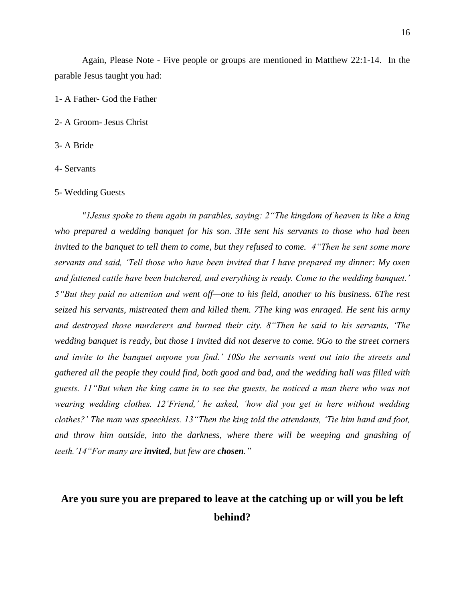Again, Please Note - Five people or groups are mentioned in Matthew 22:1-14. In the parable Jesus taught you had:

1- A Father- God the Father

2- A Groom- Jesus Christ

3- A Bride

4- Servants

5- Wedding Guests

*"1Jesus spoke to them again in parables, saying: 2"The kingdom of heaven is like a king who prepared a wedding banquet for his son. 3He sent his servants to those who had been invited to the banquet to tell them to come, but they refused to come. 4"Then he sent some more servants and said, 'Tell those who have been invited that I have prepared my dinner: My oxen and fattened cattle have been butchered, and everything is ready. Come to the wedding banquet.' 5"But they paid no attention and went off—one to his field, another to his business. 6The rest seized his servants, mistreated them and killed them. 7The king was enraged. He sent his army and destroyed those murderers and burned their city. 8"Then he said to his servants, 'The wedding banquet is ready, but those I invited did not deserve to come. 9Go to the street corners and invite to the banquet anyone you find.' 10So the servants went out into the streets and gathered all the people they could find, both good and bad, and the wedding hall was filled with guests. 11"But when the king came in to see the guests, he noticed a man there who was not wearing wedding clothes. 12'Friend,' he asked, 'how did you get in here without wedding clothes?' The man was speechless. 13"Then the king told the attendants, 'Tie him hand and foot, and throw him outside, into the darkness, where there will be weeping and gnashing of teeth.'14"For many are invited, but few are chosen."* 

# **Are you sure you are prepared to leave at the catching up or will you be left behind?**